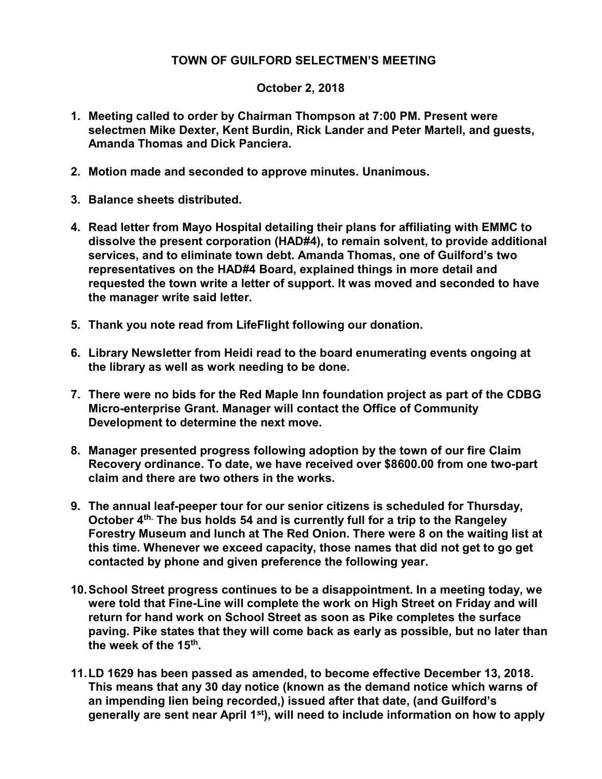## TOWN OF GUILFORD SELECTMEN'S MEETING

## October 2, 2018

- 1. Meeting called to order by Chairman Thompson at 7:00 PM. Present were selectmen Mike Dexter, Kent Burdin, Rick Lander and Peter Martell, and guests, Amanda Thomas and Dick Panciera.
- 2. Motion made and seconded to approve minutes. Unanimous.
- 3. Balance sheets distributed.
- 4. Read letter from Mayo Hospital detailing their plans for affiliating with EMMC to dissolve the present corporation (HAD#4), to remain solvent, to provide additional services, and to eliminate town debt. Amanda Thomas, one of Guilford's two representatives on the HAD#4 Board, explained things in more detail and requested the town write a letter of support. It was moved and seconded to have the manager write said letter.
- 5. Thank you note read from LifeFlight following our donation.
- 6. Library Newsletter from Heidi read to the board enumerating events ongoing at the library as well as work needing to be done.
- 7. There were no bids for the Red Maple Inn foundation project as part of the CDBG Micro-enterprise Grant. Manager will contact the Office of Community Development to determine the next move.
- 8. Manager presented progress following adoption by the town of our fire Claim Recovery ordinance. To date, we have received over \$8600.00 from one two-part claim and there are two others in the works.
- 9. The annual leaf-peeper tour for our senior citizens is scheduled for Thursday, October 4<sup>th.</sup> The bus holds 54 and is currently full for a trip to the Rangeley Forestry Museum and lunch at The Red Onion. There were 8 on the waiting list at this time. Whenever we exceed capacity, those names that did not get to go get contacted by phone and given preference the following year.
- 10. School Street progress continues to be a disappointment. In a meeting today, we were told that Fine-Line will complete the work on High Street on Friday and will return for hand work on School Street as soon as Pike completes the surface paving. Pike states that they will come back as early as possible, but no later than the week of the 15<sup>th</sup>.
- 11. LD 1629 has been passed as amended, to become effective December 13, 2018. This means that any 30 day notice (known as the demand notice which warns of an impending lien being recorded,) issued after that date, (and Guilford's generally are sent near April 1st), will need to include information on how to apply